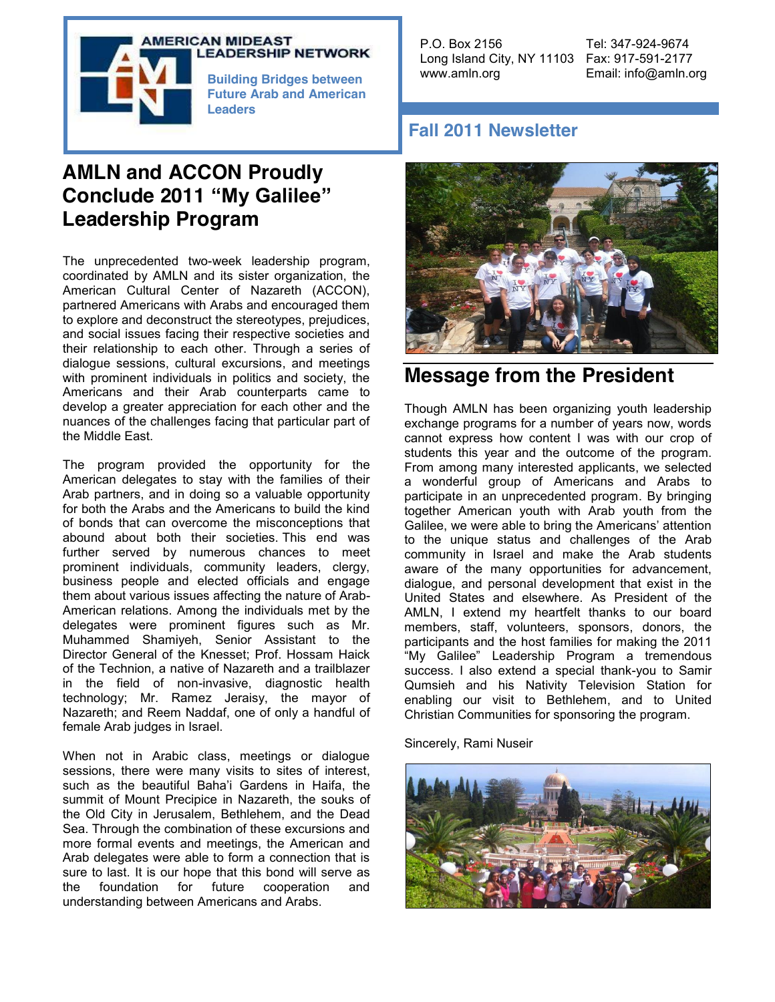

### **LEADERSHIP NETWORK**

**Future Arab and American Leaders**

## **AMLN and ACCON Proudly Conclude 2011 "My Galilee" Leadership Program**

The unprecedented two-week leadership program, coordinated by AMLN and its sister organization, the American Cultural Center of Nazareth (ACCON), partnered Americans with Arabs and encouraged them to explore and deconstruct the stereotypes, prejudices, and social issues facing their respective societies and their relationship to each other. Through a series of dialogue sessions, cultural excursions, and meetings with prominent individuals in politics and society, the Americans and their Arab counterparts came to develop a greater appreciation for each other and the nuances of the challenges facing that particular part of the Middle East.

The program provided the opportunity for the American delegates to stay with the families of their Arab partners, and in doing so a valuable opportunity for both the Arabs and the Americans to build the kind of bonds that can overcome the misconceptions that abound about both their societies. This end was further served by numerous chances to meet prominent individuals, community leaders, clergy, business people and elected officials and engage them about various issues affecting the nature of Arab-American relations. Among the individuals met by the delegates were prominent figures such as Mr. Muhammed Shamiyeh, Senior Assistant to the Director General of the Knesset; Prof. Hossam Haick of the Technion, a native of Nazareth and a trailblazer in the field of non-invasive, diagnostic health technology; Mr. Ramez Jeraisy, the mayor of Nazareth; and Reem Naddaf, one of only a handful of female Arab judges in Israel.

When not in Arabic class, meetings or dialogue sessions, there were many visits to sites of interest, such as the beautiful Baha'i Gardens in Haifa, the summit of Mount Precipice in Nazareth, the souks of the Old City in Jerusalem, Bethlehem, and the Dead Sea. Through the combination of these excursions and more formal events and meetings, the American and Arab delegates were able to form a connection that is sure to last. It is our hope that this bond will serve as the foundation for future cooperation and the foundation for future cooperation and understanding between Americans and Arabs.

P.O. Box 2156 Tel: 347-924-9674 Long Island City, NY 11103 Fax: 917-591-2177 www.amln.org Email: info@amln.org **Building Bridges between** 

## **Fall 2011 Newsletter**



## **Message from the President**

Though AMLN has been organizing youth leadership exchange programs for a number of years now, words cannot express how content I was with our crop of students this year and the outcome of the program. From among many interested applicants, we selected a wonderful group of Americans and Arabs to participate in an unprecedented program. By bringing together American youth with Arab youth from the Galilee, we were able to bring the Americans' attention to the unique status and challenges of the Arab community in Israel and make the Arab students aware of the many opportunities for advancement, dialogue, and personal development that exist in the United States and elsewhere. As President of the AMLN, I extend my heartfelt thanks to our board members, staff, volunteers, sponsors, donors, the participants and the host families for making the 2011 "My Galilee" Leadership Program a tremendous success. I also extend a special thank-you to Samir Qumsieh and his Nativity Television Station for enabling our visit to Bethlehem, and to United Christian Communities for sponsoring the program.

Sincerely, Rami Nuseir

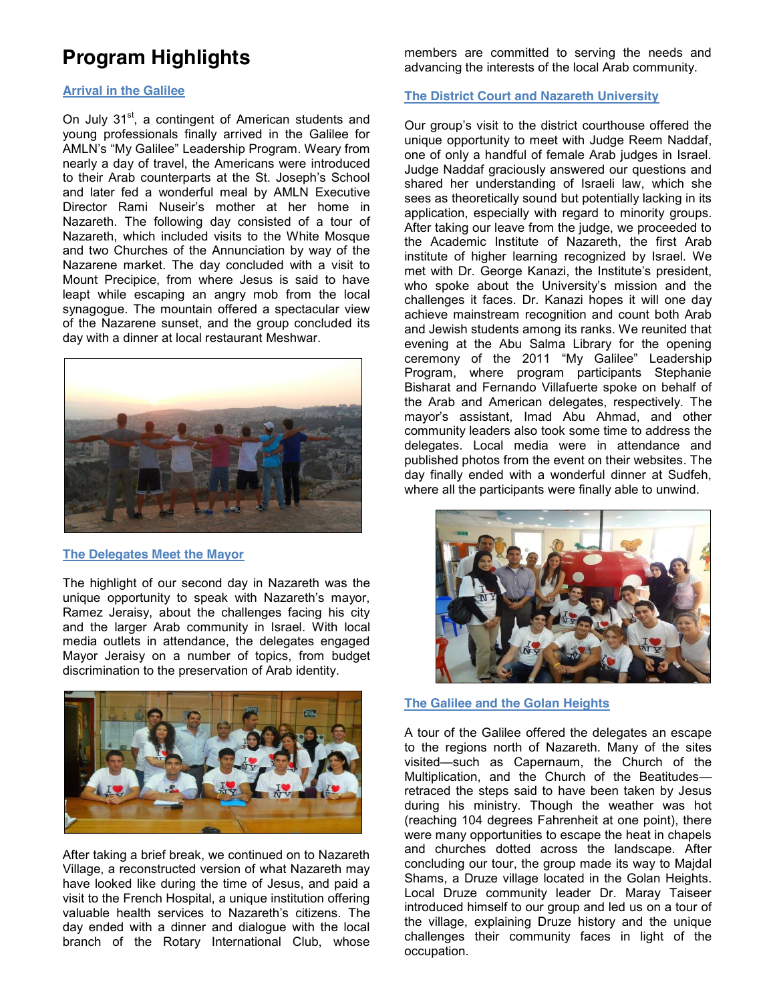# **Program Highlights**

#### **Arrival in the Galilee**

On July 31<sup>st</sup>, a contingent of American students and young professionals finally arrived in the Galilee for AMLN's "My Galilee" Leadership Program. Weary from nearly a day of travel, the Americans were introduced to their Arab counterparts at the St. Joseph's School and later fed a wonderful meal by AMLN Executive Director Rami Nuseir's mother at her home in Nazareth. The following day consisted of a tour of Nazareth, which included visits to the White Mosque and two Churches of the Annunciation by way of the Nazarene market. The day concluded with a visit to Mount Precipice, from where Jesus is said to have leapt while escaping an angry mob from the local synagogue. The mountain offered a spectacular view of the Nazarene sunset, and the group concluded its day with a dinner at local restaurant Meshwar.



#### **The Delegates Meet the Mayor**

The highlight of our second day in Nazareth was the unique opportunity to speak with Nazareth's mayor, Ramez Jeraisy, about the challenges facing his city and the larger Arab community in Israel. With local media outlets in attendance, the delegates engaged Mayor Jeraisy on a number of topics, from budget discrimination to the preservation of Arab identity.



After taking a brief break, we continued on to Nazareth Village, a reconstructed version of what Nazareth may have looked like during the time of Jesus, and paid a visit to the French Hospital, a unique institution offering valuable health services to Nazareth's citizens. The day ended with a dinner and dialogue with the local branch of the Rotary International Club, whose

members are committed to serving the needs and advancing the interests of the local Arab community.

#### **The District Court and Nazareth University**

Our group's visit to the district courthouse offered the unique opportunity to meet with Judge Reem Naddaf, one of only a handful of female Arab judges in Israel. Judge Naddaf graciously answered our questions and shared her understanding of Israeli law, which she sees as theoretically sound but potentially lacking in its application, especially with regard to minority groups. After taking our leave from the judge, we proceeded to the Academic Institute of Nazareth, the first Arab institute of higher learning recognized by Israel. We met with Dr. George Kanazi, the Institute's president, who spoke about the University's mission and the challenges it faces. Dr. Kanazi hopes it will one day achieve mainstream recognition and count both Arab and Jewish students among its ranks. We reunited that evening at the Abu Salma Library for the opening ceremony of the 2011 "My Galilee" Leadership Program, where program participants Stephanie Bisharat and Fernando Villafuerte spoke on behalf of the Arab and American delegates, respectively. The mayor's assistant, Imad Abu Ahmad, and other community leaders also took some time to address the delegates. Local media were in attendance and published photos from the event on their websites. The day finally ended with a wonderful dinner at Sudfeh, where all the participants were finally able to unwind.



#### **The Galilee and the Golan Heights**

A tour of the Galilee offered the delegates an escape to the regions north of Nazareth. Many of the sites visited—such as Capernaum, the Church of the Multiplication, and the Church of the Beatitudes retraced the steps said to have been taken by Jesus during his ministry. Though the weather was hot (reaching 104 degrees Fahrenheit at one point), there were many opportunities to escape the heat in chapels and churches dotted across the landscape. After concluding our tour, the group made its way to Majdal Shams, a Druze village located in the Golan Heights. Local Druze community leader Dr. Maray Taiseer introduced himself to our group and led us on a tour of the village, explaining Druze history and the unique challenges their community faces in light of the occupation.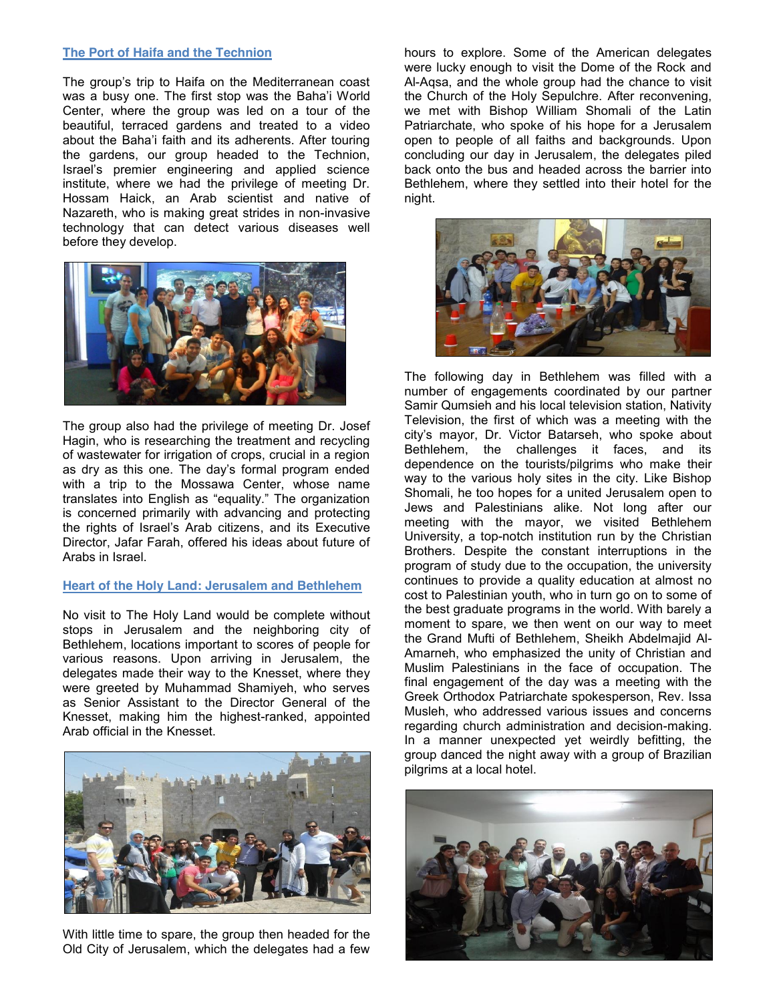#### **The Port of Haifa and the Technion**

The group's trip to Haifa on the Mediterranean coast was a busy one. The first stop was the Baha'i World Center, where the group was led on a tour of the beautiful, terraced gardens and treated to a video about the Baha'i faith and its adherents. After touring the gardens, our group headed to the Technion, Israel's premier engineering and applied science institute, where we had the privilege of meeting Dr. Hossam Haick, an Arab scientist and native of Nazareth, who is making great strides in non-invasive technology that can detect various diseases well before they develop.



The group also had the privilege of meeting Dr. Josef Hagin, who is researching the treatment and recycling of wastewater for irrigation of crops, crucial in a region as dry as this one. The day's formal program ended with a trip to the Mossawa Center, whose name translates into English as "equality." The organization is concerned primarily with advancing and protecting the rights of Israel's Arab citizens, and its Executive Director, Jafar Farah, offered his ideas about future of Arabs in Israel.

### **Heart of the Holy Land: Jerusalem and Bethlehem**

No visit to The Holy Land would be complete without stops in Jerusalem and the neighboring city of Bethlehem, locations important to scores of people for various reasons. Upon arriving in Jerusalem, the delegates made their way to the Knesset, where they were greeted by Muhammad Shamiyeh, who serves as Senior Assistant to the Director General of the Knesset, making him the highest-ranked, appointed Arab official in the Knesset.



With little time to spare, the group then headed for the Old City of Jerusalem, which the delegates had a few

hours to explore. Some of the American delegates were lucky enough to visit the Dome of the Rock and Al-Aqsa, and the whole group had the chance to visit the Church of the Holy Sepulchre. After reconvening, we met with Bishop William Shomali of the Latin Patriarchate, who spoke of his hope for a Jerusalem open to people of all faiths and backgrounds. Upon concluding our day in Jerusalem, the delegates piled back onto the bus and headed across the barrier into Bethlehem, where they settled into their hotel for the night.



The following day in Bethlehem was filled with a number of engagements coordinated by our partner Samir Qumsieh and his local television station, Nativity Television, the first of which was a meeting with the city's mayor, Dr. Victor Batarseh, who spoke about Bethlehem, the challenges it faces, and its dependence on the tourists/pilgrims who make their way to the various holy sites in the city. Like Bishop Shomali, he too hopes for a united Jerusalem open to Jews and Palestinians alike. Not long after our meeting with the mayor, we visited Bethlehem University, a top-notch institution run by the Christian Brothers. Despite the constant interruptions in the program of study due to the occupation, the university continues to provide a quality education at almost no cost to Palestinian youth, who in turn go on to some of the best graduate programs in the world. With barely a moment to spare, we then went on our way to meet the Grand Mufti of Bethlehem, Sheikh Abdelmajid Al-Amarneh, who emphasized the unity of Christian and Muslim Palestinians in the face of occupation. The final engagement of the day was a meeting with the Greek Orthodox Patriarchate spokesperson, Rev. Issa Musleh, who addressed various issues and concerns regarding church administration and decision-making. In a manner unexpected yet weirdly befitting, the group danced the night away with a group of Brazilian pilgrims at a local hotel.